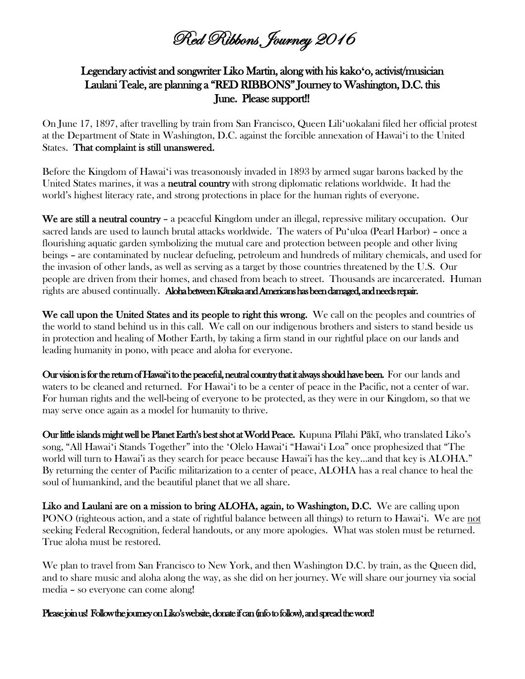Red Ribbons Journey 2016

## Legendary activist and songwriter Liko Martin, along with his kako**ʻ**o, activist/musician Laulani Teale, are planning a "RED RIBBONS" Journey to Washington, D.C. this June. Please support!!

On June 17, 1897, after travelling by train from San Francisco, Queen Liliʻuokalani filed her official protest at the Department of State in Washington, D.C. against the forcible annexation of Hawaiʻi to the United States. That complaint is still unanswered.

Before the Kingdom of Hawaiʻi was treasonously invaded in 1893 by armed sugar barons backed by the United States marines, it was a **neutral country** with strong diplomatic relations worldwide. It had the world's highest literacy rate, and strong protections in place for the human rights of everyone.

We are still a neutral country – a peaceful Kingdom under an illegal, repressive military occupation. Our sacred lands are used to launch brutal attacks worldwide. The waters of Puʻuloa (Pearl Harbor) – once a flourishing aquatic garden symbolizing the mutual care and protection between people and other living beings – are contaminated by nuclear defueling, petroleum and hundreds of military chemicals, and used for the invasion of other lands, as well as serving as a target by those countries threatened by the U.S. Our people are driven from their homes, and chased from beach to street. Thousands are incarcerated. Human rights are abused continually. Aloha between K**ā**naka and Americans has been damaged, and needs repair.

We call upon the United States and its people to right this wrong. We call on the peoples and countries of the world to stand behind us in this call. We call on our indigenous brothers and sisters to stand beside us in protection and healing of Mother Earth, by taking a firm stand in our rightful place on our lands and leading humanity in pono, with peace and aloha for everyone.

Our vision is for the return of Hawai**ʻ**i to the peaceful, neutral country that it always should have been. For our lands and waters to be cleaned and returned. For Hawaiʻi to be a center of peace in the Pacific, not a center of war. For human rights and the well-being of everyone to be protected, as they were in our Kingdom, so that we may serve once again as a model for humanity to thrive.

Our little islands might well be Planet Earth's best shot at World Peace. Kupuna Pīlahi Pākī, who translated Liko's song, "All Hawaiʻi Stands Together" into the ʻOlelo Hawaiʻi "Hawaiʻi Loa" once prophesized that "The world will turn to Hawai'i as they search for peace because Hawai'i has the key…and that key is ALOHA." By returning the center of Pacific militarization to a center of peace, ALOHA has a real chance to heal the soul of humankind, and the beautiful planet that we all share.

Liko and Laulani are on a mission to bring ALOHA, again, to Washington, D.C. We are calling upon PONO (righteous action, and a state of rightful balance between all things) to return to Hawaiʻi. We are not seeking Federal Recognition, federal handouts, or any more apologies. What was stolen must be returned. True aloha must be restored.

We plan to travel from San Francisco to New York, and then Washington D.C. by train, as the Queen did, and to share music and aloha along the way, as she did on her journey. We will share our journey via social media – so everyone can come along!

Please join us! Follow the journey on Liko's website, donate if can (info to follow), and spread the word!